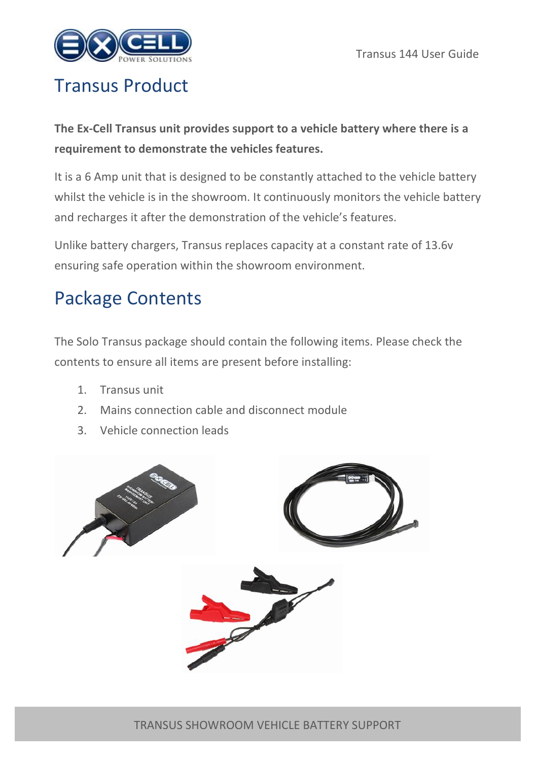

## Transus Product

**The Ex-Cell Transus unit provides support to a vehicle battery where there is a requirement to demonstrate the vehicles features.** 

It is a 6 Amp unit that is designed to be constantly attached to the vehicle battery whilst the vehicle is in the showroom. It continuously monitors the vehicle battery and recharges it after the demonstration of the vehicle's features.

Unlike battery chargers, Transus replaces capacity at a constant rate of 13.6v ensuring safe operation within the showroom environment.

# Package Contents

The Solo Transus package should contain the following items. Please check the contents to ensure all items are present before installing:

- 1. Transus unit
- 2. Mains connection cable and disconnect module
- 3. Vehicle connection leads

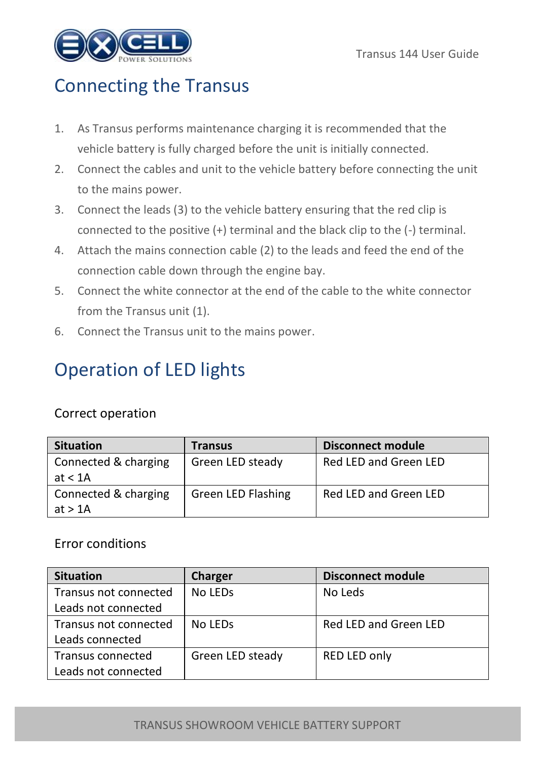

### Connecting the Transus

- 1. As Transus performs maintenance charging it is recommended that the vehicle battery is fully charged before the unit is initially connected.
- 2. Connect the cables and unit to the vehicle battery before connecting the unit to the mains power.
- 3. Connect the leads (3) to the vehicle battery ensuring that the red clip is connected to the positive (+) terminal and the black clip to the (-) terminal.
- 4. Attach the mains connection cable (2) to the leads and feed the end of the connection cable down through the engine bay.
- 5. Connect the white connector at the end of the cable to the white connector from the Transus unit (1).
- 6. Connect the Transus unit to the mains power.

## Operation of LED lights

### Correct operation

| <b>Situation</b>                  | Transus            | <b>Disconnect module</b> |
|-----------------------------------|--------------------|--------------------------|
| Connected & charging<br>at $< 1A$ | Green LED steady   | Red LED and Green LED    |
| Connected & charging<br>at $>1$ A | Green LED Flashing | Red LED and Green LED    |

#### Error conditions

| <b>Situation</b>      | Charger             | <b>Disconnect module</b> |
|-----------------------|---------------------|--------------------------|
| Transus not connected | No LED <sub>s</sub> | No Leds                  |
| Leads not connected   |                     |                          |
| Transus not connected | No LED <sub>s</sub> | Red LED and Green LED    |
| Leads connected       |                     |                          |
| Transus connected     | Green LED steady    | RED LED only             |
| Leads not connected   |                     |                          |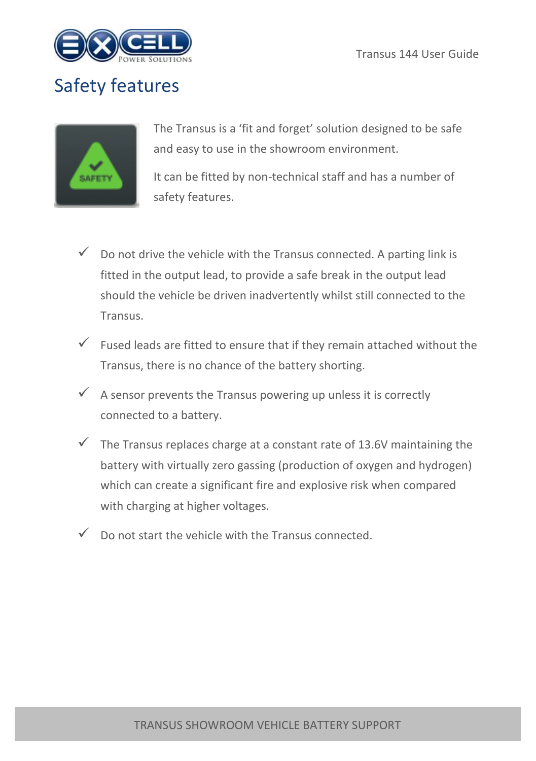

## Safety features



The Transus is a 'fit and forget' solution designed to be safe and easy to use in the showroom environment.

It can be fitted by non-technical staff and has a number of safety features.

- $\checkmark$  Do not drive the vehicle with the Transus connected. A parting link is fitted in the output lead, to provide a safe break in the output lead should the vehicle be driven inadvertently whilst still connected to the Transus.
- $\checkmark$  Fused leads are fitted to ensure that if they remain attached without the Transus, there is no chance of the battery shorting.
- $\checkmark$  A sensor prevents the Transus powering up unless it is correctly connected to a battery.
- $\checkmark$  The Transus replaces charge at a constant rate of 13.6V maintaining the battery with virtually zero gassing (production of oxygen and hydrogen) which can create a significant fire and explosive risk when compared with charging at higher voltages.
- $\checkmark$  Do not start the vehicle with the Transus connected.